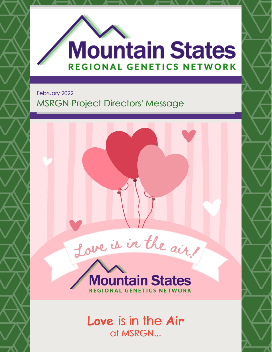

February 2022

## MSRGN Project Directors' Message



**Love** is in the **Air** at MSRGN...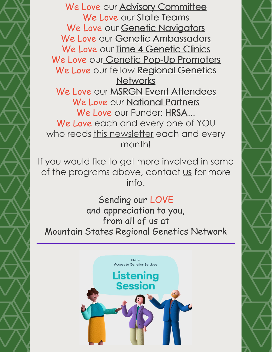We Love our Advisory [Committee](https://www.mountainstatesgenetics.org/about/steering-committee/) We Love our State [Teams](https://www.mountainstatesgenetics.org/about/state-teams/) We Love our Genetic [Navigators](https://www.mountainstatesgenetics.org/gn/) We Love our Genetic [Ambassadors](https://www.mountainstatesgenetics.org/for-families/genetic-ambassadors/) We Love our Time 4 [Genetic](https://www.mountainstatesgenetics.org/t4info/) Clinics We Love our Genetic Pop-Up [Promoters](https://www.mountainstatesgenetics.org/2022popup/) We Love our fellow Regional Genetics **[Networks](https://nccrcg.org/rgns/)** We Love our **MSRGN** Event [Attendees](https://www.mountainstatesgenetics.org/gs2021recordings/) We Love our [National](https://www.mountainstatesgenetics.org/) Partners We Love our Funder: [HRSA](https://mchb.hrsa.gov/programs-impact/focus-areas/children-youth-special-health-care-needs-cyshcn)... We Love each and every one of YOU who reads this newsletter each and every month!

If you would like to get more involved in some of the programs above, contact [us](mailto:kwees@mountainstatesgenetics.org) for more info.

Sending our LOVE and appreciation to you, from all of us at Mountain States Regional Genetics Network

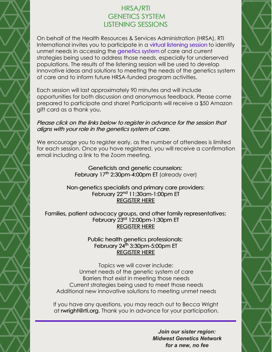## HRSA/RTI GENETICS SYSTEM LISTENING SESSIONS

On behalf of the Health Resources & Services Administration (HRSA), RTI International invites you to participate in a virtual listening session to identify unmet needs in accessing the genetics system of care and current strategies being used to address those needs, especially for underserved populations. The results of the listening session will be used to develop innovative ideas and solutions to meeting the needs of the genetics system of care and to inform future HRSA-funded program activities.

Each session will last approximately 90 minutes and will include opportunities for both discussion and anonymous feedback. Please come prepared to participate and share! Participants will receive a \$50 Amazon gift card as a thank you.

#### Please click on the links below to register in advance for the session that aligns with your role in the genetics system of care.

We encourage you to register early, as the number of attendees is limited for each session. Once you have registered, you will receive a confirmation email including a link to the Zoom meeting.

> Geneticists and genetic counselors: [February](https://urldefense.proofpoint.com/v2/url?u=https-3A__rtiorg.zoom.us_meeting_register_tJYucemoqDItHtBC2v7EFUDV7Pi570L5cVts&d=DwMFAg&c=qKdtBuuu6dQK9MsRUVJ2DPXW6oayO8fu4TfEHS8sGNk&r=b5Idyc2wXnfRi-1--MXbI12_72YRRZFpRjaxZ7sYZ8s&m=hAx1wuz3m9W1SmzwMTDQXPIDgIYzq6CTW8A960MgYEH8CYl3PALEdUTPqz0_ajL2&s=Nxbs5MHAqEQ-OJJmj6l0FK9OJ68ie942sNFzo-ZLVjc&e=) 17<sup>[th](https://urldefense.proofpoint.com/v2/url?u=https-3A__rtiorg.zoom.us_meeting_register_tJYucemoqDItHtBC2v7EFUDV7Pi570L5cVts&d=DwMFAg&c=qKdtBuuu6dQK9MsRUVJ2DPXW6oayO8fu4TfEHS8sGNk&r=b5Idyc2wXnfRi-1--MXbI12_72YRRZFpRjaxZ7sYZ8s&m=hAx1wuz3m9W1SmzwMTDQXPIDgIYzq6CTW8A960MgYEH8CYl3PALEdUTPqz0_ajL2&s=Nxbs5MHAqEQ-OJJmj6l0FK9OJ68ie942sNFzo-ZLVjc&e=)</sup> [2:30pm-4:00pm](https://urldefense.proofpoint.com/v2/url?u=https-3A__rtiorg.zoom.us_meeting_register_tJYucemoqDItHtBC2v7EFUDV7Pi570L5cVts&d=DwMFAg&c=qKdtBuuu6dQK9MsRUVJ2DPXW6oayO8fu4TfEHS8sGNk&r=b5Idyc2wXnfRi-1--MXbI12_72YRRZFpRjaxZ7sYZ8s&m=hAx1wuz3m9W1SmzwMTDQXPIDgIYzq6CTW8A960MgYEH8CYl3PALEdUTPqz0_ajL2&s=Nxbs5MHAqEQ-OJJmj6l0FK9OJ68ie942sNFzo-ZLVjc&e=) ET (already over)

#### Non-genetics specialists and primary care providers: [February](https://urldefense.proofpoint.com/v2/url?u=https-3A__rtiorg.zoom.us_meeting_register_tJUpcO-2DurDgtE93u0x2urAgGq53vQBAJxAFl&d=DwMFAg&c=qKdtBuuu6dQK9MsRUVJ2DPXW6oayO8fu4TfEHS8sGNk&r=b5Idyc2wXnfRi-1--MXbI12_72YRRZFpRjaxZ7sYZ8s&m=hAx1wuz3m9W1SmzwMTDQXPIDgIYzq6CTW8A960MgYEH8CYl3PALEdUTPqz0_ajL2&s=0MyeadvPg_Hy_MgqkShAER0dMnAWwuom0b9TgETCsLQ&e=) 22<sup>[nd](https://urldefense.proofpoint.com/v2/url?u=https-3A__rtiorg.zoom.us_meeting_register_tJUpcO-2DurDgtE93u0x2urAgGq53vQBAJxAFl&d=DwMFAg&c=qKdtBuuu6dQK9MsRUVJ2DPXW6oayO8fu4TfEHS8sGNk&r=b5Idyc2wXnfRi-1--MXbI12_72YRRZFpRjaxZ7sYZ8s&m=hAx1wuz3m9W1SmzwMTDQXPIDgIYzq6CTW8A960MgYEH8CYl3PALEdUTPqz0_ajL2&s=0MyeadvPg_Hy_MgqkShAER0dMnAWwuom0b9TgETCsLQ&e=)</sup> [11:30am-1:00pm](https://urldefense.proofpoint.com/v2/url?u=https-3A__rtiorg.zoom.us_meeting_register_tJUpcO-2DurDgtE93u0x2urAgGq53vQBAJxAFl&d=DwMFAg&c=qKdtBuuu6dQK9MsRUVJ2DPXW6oayO8fu4TfEHS8sGNk&r=b5Idyc2wXnfRi-1--MXbI12_72YRRZFpRjaxZ7sYZ8s&m=hAx1wuz3m9W1SmzwMTDQXPIDgIYzq6CTW8A960MgYEH8CYl3PALEdUTPqz0_ajL2&s=0MyeadvPg_Hy_MgqkShAER0dMnAWwuom0b9TgETCsLQ&e=) ET [REGISTER](https://rtiorg.zoom.us/meeting/register/tJUpcO-urDgtE93u0x2urAgGq53vQBAJxAFl) HERE

Families, patient advocacy groups, and other family representatives: [February](https://urldefense.proofpoint.com/v2/url?u=https-3A__rtiorg.zoom.us_meeting_register_tJErc-2Dqgpj4qGNWYgavEyystmrgbWp65EY3K&d=DwMFAg&c=qKdtBuuu6dQK9MsRUVJ2DPXW6oayO8fu4TfEHS8sGNk&r=b5Idyc2wXnfRi-1--MXbI12_72YRRZFpRjaxZ7sYZ8s&m=hAx1wuz3m9W1SmzwMTDQXPIDgIYzq6CTW8A960MgYEH8CYl3PALEdUTPqz0_ajL2&s=bJulg3uJ4Ti3PwyMR6_SbU2BHKA5npZQUyGflzbf4Mo&e=) 23<sup>[rd](https://urldefense.proofpoint.com/v2/url?u=https-3A__rtiorg.zoom.us_meeting_register_tJErc-2Dqgpj4qGNWYgavEyystmrgbWp65EY3K&d=DwMFAg&c=qKdtBuuu6dQK9MsRUVJ2DPXW6oayO8fu4TfEHS8sGNk&r=b5Idyc2wXnfRi-1--MXbI12_72YRRZFpRjaxZ7sYZ8s&m=hAx1wuz3m9W1SmzwMTDQXPIDgIYzq6CTW8A960MgYEH8CYl3PALEdUTPqz0_ajL2&s=bJulg3uJ4Ti3PwyMR6_SbU2BHKA5npZQUyGflzbf4Mo&e=)</sup> [12:00pm-1:30pm](https://urldefense.proofpoint.com/v2/url?u=https-3A__rtiorg.zoom.us_meeting_register_tJErc-2Dqgpj4qGNWYgavEyystmrgbWp65EY3K&d=DwMFAg&c=qKdtBuuu6dQK9MsRUVJ2DPXW6oayO8fu4TfEHS8sGNk&r=b5Idyc2wXnfRi-1--MXbI12_72YRRZFpRjaxZ7sYZ8s&m=hAx1wuz3m9W1SmzwMTDQXPIDgIYzq6CTW8A960MgYEH8CYl3PALEdUTPqz0_ajL2&s=bJulg3uJ4Ti3PwyMR6_SbU2BHKA5npZQUyGflzbf4Mo&e=) ET [REGISTER](https://rtiorg.zoom.us/meeting/register/tJErc-qgpj4qGNWYgavEyystmrgbWp65EY3K) HERE

#### Public health genetics professionals: [February](https://urldefense.proofpoint.com/v2/url?u=https-3A__rtiorg.zoom.us_meeting_register_tJIoc-2DChrTkiE9Lh36SK-5Fz0AUGvg-2DOh96t42&d=DwMFAg&c=qKdtBuuu6dQK9MsRUVJ2DPXW6oayO8fu4TfEHS8sGNk&r=b5Idyc2wXnfRi-1--MXbI12_72YRRZFpRjaxZ7sYZ8s&m=hAx1wuz3m9W1SmzwMTDQXPIDgIYzq6CTW8A960MgYEH8CYl3PALEdUTPqz0_ajL2&s=Vl0e5ngPjDgAd8tm8MCzYBm_nKPmbtfFmu-k_m0_isI&e=) 24<sup>[th](https://urldefense.proofpoint.com/v2/url?u=https-3A__rtiorg.zoom.us_meeting_register_tJIoc-2DChrTkiE9Lh36SK-5Fz0AUGvg-2DOh96t42&d=DwMFAg&c=qKdtBuuu6dQK9MsRUVJ2DPXW6oayO8fu4TfEHS8sGNk&r=b5Idyc2wXnfRi-1--MXbI12_72YRRZFpRjaxZ7sYZ8s&m=hAx1wuz3m9W1SmzwMTDQXPIDgIYzq6CTW8A960MgYEH8CYl3PALEdUTPqz0_ajL2&s=Vl0e5ngPjDgAd8tm8MCzYBm_nKPmbtfFmu-k_m0_isI&e=)</sup> [3:30pm-5:00pm](https://urldefense.proofpoint.com/v2/url?u=https-3A__rtiorg.zoom.us_meeting_register_tJIoc-2DChrTkiE9Lh36SK-5Fz0AUGvg-2DOh96t42&d=DwMFAg&c=qKdtBuuu6dQK9MsRUVJ2DPXW6oayO8fu4TfEHS8sGNk&r=b5Idyc2wXnfRi-1--MXbI12_72YRRZFpRjaxZ7sYZ8s&m=hAx1wuz3m9W1SmzwMTDQXPIDgIYzq6CTW8A960MgYEH8CYl3PALEdUTPqz0_ajL2&s=Vl0e5ngPjDgAd8tm8MCzYBm_nKPmbtfFmu-k_m0_isI&e=) ET [REGISTER](https://rtiorg.zoom.us/meeting/register/tJIoc-ChrTkiE9Lh36SK_z0AUGvg-Oh96t42) HERE

Topics we will cover include: Unmet needs of the genetic system of care Barriers that exist in meeting those needs Current strategies being used to meet those needs Additional new innovative solutions to meeting unmet needs

If you have any questions, you may reach out to Becca Wright at [rwright@rti.org](mailto:rwright@rti.org). Thank you in advance for your participation.

> *Join our sister region: Midwest Genetics Network for a new, no fee*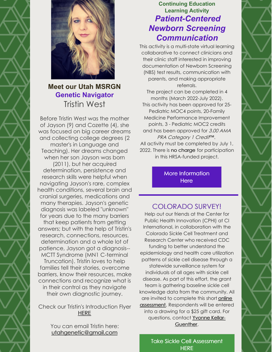



## **Meet our Utah MSRGN Genetic Navigator** Tristin West

Before Tristin West was the mother of Jayson (9) and Cozette (4), she was focused on big career dreams and collecting college degrees (2 master's in Language and Teaching). Her dreams changed when her son Jayson was born (2011), but her acquired determination, persistence and research skills were helpful when navigating Jayson's rare, complex health conditions, several brain and cranial surgeries, medications and many therapies. Jayson's genetic diagnosis was labeled "unknown" for years due to the many barriers

that keep patients from getting answers; but with the help of Tristin's research, connections, resources, determination and a whole lot of patience, Jayson got a diagnosis-- MCTT Syndrome (MN1 C-terminal

Truncation). Tristin loves to help families tell their stories, overcome barriers, know their resources, make connections and recognize what is in their control as they navigate their own diagnostic journey.

#### Check our Tristin's Introduction Flyer **[HERE](https://www.mountainstatesgenetics.org/wp-content/uploads/sites/257/2022/01/Utah-GN-Intro-2021.pdf)**

You can email Tristin here: [utahgenetic@gmail.com](mailto:utahgenetic@gmail.com)

### **Continuing Education Learning Activity** *Patient-Centered Newborn Screening Communication*

This activity is a multi-state virtual learning collaborative to connect clinicians and their clinic staff interested in improving documentation of Newborn Screening (NBS) test results, communication with parents, and making appropriate referrals.

The project can be completed in 4 months (March 2022-July 2022). This activity has been approved for 25- Pediatric MOC4 points, 20-Family Medicine Performance Improvement points, 3 - Pediatric MOC2 credits and has been approved for 3.00 AMA PRA Category 1 Credi#™. All activity must be completed by July 1, 2022. There is no charge for participation in this HRSA-funded project.

> More [Information](https://midwestgenetics.org/continuing-education-opportunities/patient-centered-newborn-screening-communications/) **Here**

## COLORADO SURVEY!

Help out our friends at the Center for Public Health Innovation (CPHI) at CI International, in collaboration with the Colorado Sickle Cell Treatment and Research Center who received CDC funding to better understand the epidemiology and health care utilization patterns of sickle cell disease through a statewide surveillance system for individuals of all ages with sickle cell disease. As part of this effort, the grant team is gathering baseline sickle cell knowledge data from the community. All are invited to complete this short online assessment. [Respondents](https://docs.google.com/forms/d/e/1FAIpQLScm1xjshL9olgbQXrK_m8z-prDey1KakGlmOnZu_8rWxxz8hA/viewform) will be entered into a drawing for a \$25 gift card. For questions, contact [Y](mailto:ykellar-guenther@ciinternational.com)vonne Kellar-[Guenther.](mailto:ykellar-guenther@ciinternational.com)

Take Sickle Cell [Assessment](https://docs.google.com/forms/d/e/1FAIpQLScm1xjshL9olgbQXrK_m8z-prDey1KakGlmOnZu_8rWxxz8hA/viewform) **HERE**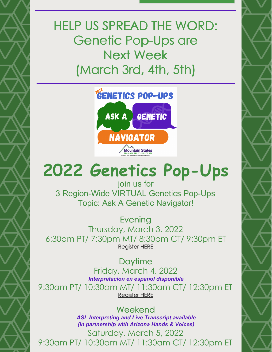# HELP US SPREAD THE WORD: Genetic Pop-Ups are Next Week (March 3rd, 4th, 5th)



## **2022 Genetics Pop-Ups** join us for

3 Region-Wide VIRTUAL Genetics Pop-Ups Topic: Ask A Genetic Navigator!

**Evening** Thursday, March 3, 2022 6:30pm PT/ 7:30pm MT/ 8:30pm CT/ 9:30pm ET [Register](https://us02web.zoom.us/meeting/register/tZUtc-mtrzIvHNI7lLGjDdTQA6f6ghkyCxNi) HERE

**Daytime** Friday, March 4, 2022 *Interpretación en español disponible* 9:30am PT/ 10:30am MT/ 11:30am CT/ 12:30pm ET [Register](https://us02web.zoom.us/meeting/register/tZMtfuGsqj0sGNPh4ZmWcQGiiXv5ZZaOIVSg) HERE

### Weekend *ASL Interpreting and Live Transcript available (in partnership with Arizona Hands & Voices)*

Saturday, March 5, 2022 9:30am PT/ 10:30am MT/ 11:30am CT/ 12:30pm ET